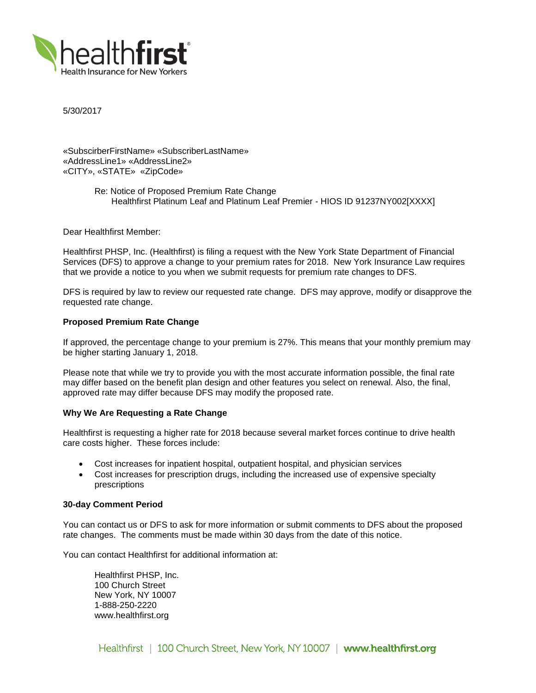

5/30/2017

«SubscirberFirstName» «SubscriberLastName» «AddressLine1» «AddressLine2» «CITY», «STATE» «ZipCode»

> Re: Notice of Proposed Premium Rate Change Healthfirst Platinum Leaf and Platinum Leaf Premier - HIOS ID 91237NY002[XXXX]

Dear Healthfirst Member:

Healthfirst PHSP, Inc. (Healthfirst) is filing a request with the New York State Department of Financial Services (DFS) to approve a change to your premium rates for 2018. New York Insurance Law requires that we provide a notice to you when we submit requests for premium rate changes to DFS.

DFS is required by law to review our requested rate change. DFS may approve, modify or disapprove the requested rate change.

# **Proposed Premium Rate Change**

If approved, the percentage change to your premium is 27%. This means that your monthly premium may be higher starting January 1, 2018.

Please note that while we try to provide you with the most accurate information possible, the final rate may differ based on the benefit plan design and other features you select on renewal. Also, the final, approved rate may differ because DFS may modify the proposed rate.

### **Why We Are Requesting a Rate Change**

Healthfirst is requesting a higher rate for 2018 because several market forces continue to drive health care costs higher. These forces include:

- Cost increases for inpatient hospital, outpatient hospital, and physician services
- Cost increases for prescription drugs, including the increased use of expensive specialty prescriptions

### **30-day Comment Period**

You can contact us or DFS to ask for more information or submit comments to DFS about the proposed rate changes. The comments must be made within 30 days from the date of this notice.

You can contact Healthfirst for additional information at:

Healthfirst PHSP, Inc. 100 Church Street New York, NY 10007 1-888-250-2220 www.healthfirst.org